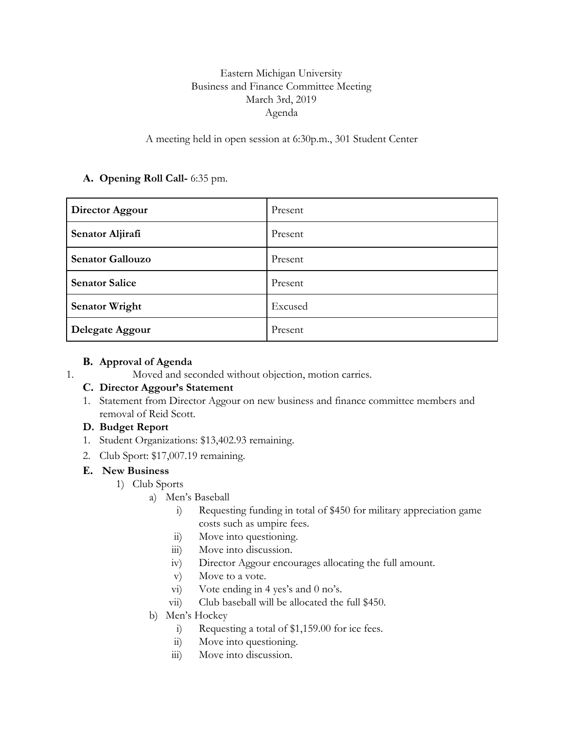# Eastern Michigan University Business and Finance Committee Meeting March 3rd, 2019 Agenda

## A meeting held in open session at 6:30p.m., 301 Student Center

## **A. Opening Roll Call-** 6:35 pm.

| Director Aggour         | Present |
|-------------------------|---------|
| Senator Aljirafi        | Present |
| <b>Senator Gallouzo</b> | Present |
| <b>Senator Salice</b>   | Present |
| <b>Senator Wright</b>   | Excused |
| Delegate Aggour         | Present |

#### **B. Approval of Agenda**

1. Moved and seconded without objection, motion carries.

#### **C. Director Aggour's Statement**

1. Statement from Director Aggour on new business and finance committee members and removal of Reid Scott.

## **D. Budget Report**

- 1. Student Organizations: \$13,402.93 remaining.
- 2. Club Sport: \$17,007.19 remaining.

#### **E. New Business**

- 1) Club Sports
	- a) Men's Baseball
		- i) Requesting funding in total of \$450 for military appreciation game costs such as umpire fees.
		- ii) Move into questioning.
		- iii) Move into discussion.
		- iv) Director Aggour encourages allocating the full amount.
		- v) Move to a vote.
		- vi) Vote ending in 4 yes's and 0 no's.
		- vii) Club baseball will be allocated the full \$450.
	- b) Men's Hockey
		- i) Requesting a total of \$1,159.00 for ice fees.
		- ii) Move into questioning.
		- iii) Move into discussion.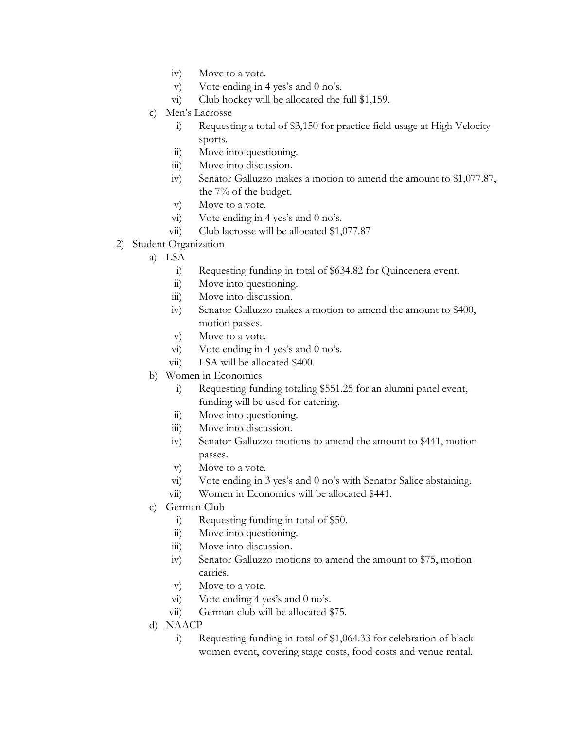- iv) Move to a vote.
- v) Vote ending in 4 yes's and 0 no's.
- vi) Club hockey will be allocated the full \$1,159.
- c) Men's Lacrosse
	- i) Requesting a total of \$3,150 for practice field usage at High Velocity sports.
	- ii) Move into questioning.
	- iii) Move into discussion.
	- iv) Senator Galluzzo makes a motion to amend the amount to \$1,077.87, the 7% of the budget.
	- v) Move to a vote.
	- vi) Vote ending in 4 yes's and 0 no's.
	- vii) Club lacrosse will be allocated \$1,077.87
- 2) Student Organization
	- a) LSA
		- i) Requesting funding in total of \$634.82 for Quincenera event.
		- ii) Move into questioning.
		- iii) Move into discussion.
		- iv) Senator Galluzzo makes a motion to amend the amount to \$400, motion passes.
		- v) Move to a vote.
		- vi) Vote ending in 4 yes's and 0 no's.
		- vii) LSA will be allocated \$400.
	- b) Women in Economics
		- i) Requesting funding totaling \$551.25 for an alumni panel event, funding will be used for catering.
		- ii) Move into questioning.
		- iii) Move into discussion.
		- iv) Senator Galluzzo motions to amend the amount to \$441, motion passes.
		- v) Move to a vote.
		- vi) Vote ending in 3 yes's and 0 no's with Senator Salice abstaining.
		- vii) Women in Economics will be allocated \$441.
	- c) German Club
		- i) Requesting funding in total of \$50.
		- ii) Move into questioning.
		- iii) Move into discussion.
		- iv) Senator Galluzzo motions to amend the amount to \$75, motion carries.
		- v) Move to a vote.
		- vi) Vote ending 4 yes's and 0 no's.
		- vii) German club will be allocated \$75.
	- d) NAACP
		- i) Requesting funding in total of \$1,064.33 for celebration of black women event, covering stage costs, food costs and venue rental.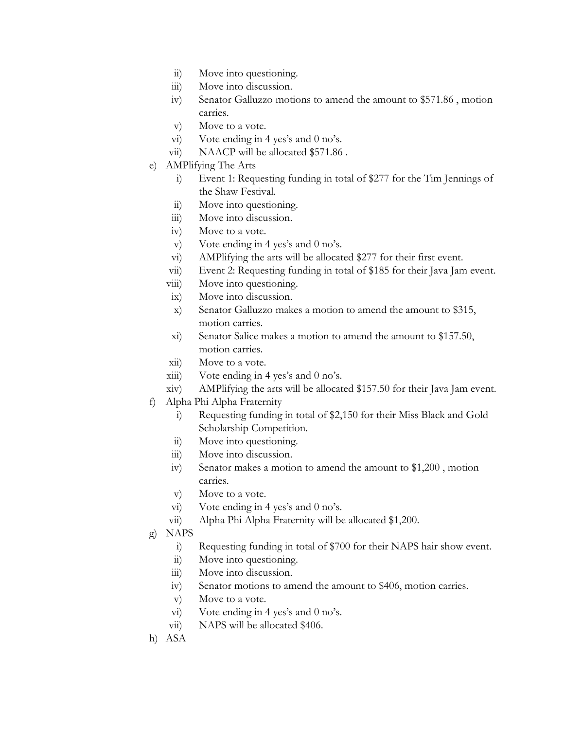- ii) Move into questioning.
- iii) Move into discussion.
- iv) Senator Galluzzo motions to amend the amount to \$571.86 , motion carries.
- v) Move to a vote.
- vi) Vote ending in 4 yes's and 0 no's.
- vii) NAACP will be allocated \$571.86.
- e) AMPlifying The Arts
	- i) Event 1: Requesting funding in total of \$277 for the Tim Jennings of the Shaw Festival.
	- ii) Move into questioning.
	- iii) Move into discussion.
	- iv) Move to a vote.
	- v) Vote ending in 4 yes's and 0 no's.
	- vi) AMPlifying the arts will be allocated \$277 for their first event.
	- vii) Event 2: Requesting funding in total of \$185 for their Java Jam event.
	- viii) Move into questioning.
	- ix) Move into discussion.
	- x) Senator Galluzzo makes a motion to amend the amount to \$315, motion carries.
	- xi) Senator Salice makes a motion to amend the amount to \$157.50, motion carries.
	- xii) Move to a vote.
	- $xiii)$  Vote ending in 4 yes's and 0 no's.
	- xiv) AMPlifying the arts will be allocated \$157.50 for their Java Jam event.
- f) Alpha Phi Alpha Fraternity
	- i) Requesting funding in total of \$2,150 for their Miss Black and Gold Scholarship Competition.
	- ii) Move into questioning.
	- iii) Move into discussion.
	- iv) Senator makes a motion to amend the amount to \$1,200 , motion carries.
	- v) Move to a vote.
	- vi) Vote ending in 4 yes's and 0 no's.
	- vii) Alpha Phi Alpha Fraternity will be allocated \$1,200.
- g) NAPS
	- i) Requesting funding in total of \$700 for their NAPS hair show event.
	- ii) Move into questioning.
	- iii) Move into discussion.
	- iv) Senator motions to amend the amount to \$406, motion carries.
	- v) Move to a vote.
	- vi) Vote ending in 4 yes's and 0 no's.
	- vii) NAPS will be allocated \$406.
- h) ASA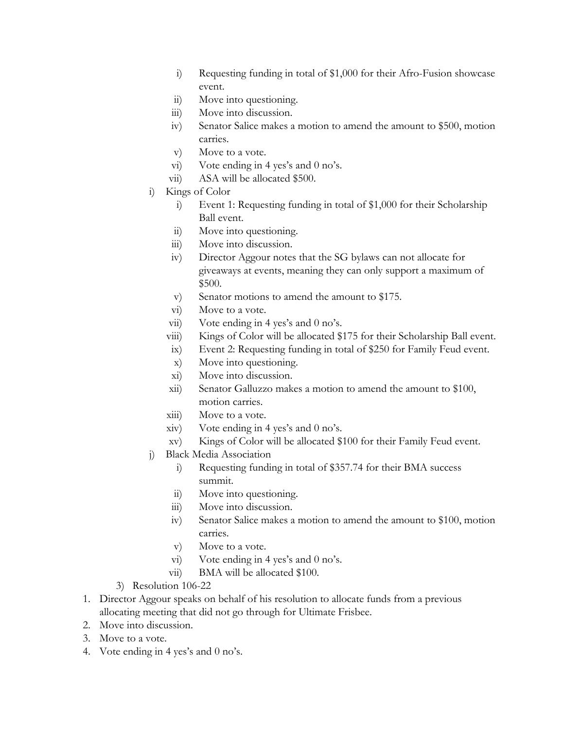- i) Requesting funding in total of \$1,000 for their Afro-Fusion showcase event.
- ii) Move into questioning.
- iii) Move into discussion.
- iv) Senator Salice makes a motion to amend the amount to \$500, motion carries.
- v) Move to a vote.
- vi) Vote ending in 4 yes's and 0 no's.
- vii) ASA will be allocated \$500.
- i) Kings of Color
	- i) Event 1: Requesting funding in total of \$1,000 for their Scholarship Ball event.
	- ii) Move into questioning.
	- iii) Move into discussion.
	- iv) Director Aggour notes that the SG bylaws can not allocate for giveaways at events, meaning they can only support a maximum of \$500.
	- v) Senator motions to amend the amount to \$175.
	- vi) Move to a vote.
	- vii) Vote ending in 4 yes's and 0 no's.
	- viii) Kings of Color will be allocated \$175 for their Scholarship Ball event.
	- ix) Event 2: Requesting funding in total of \$250 for Family Feud event.
	- x) Move into questioning.
	- xi) Move into discussion.
	- xii) Senator Galluzzo makes a motion to amend the amount to \$100, motion carries.
	- xiii) Move to a vote.
	- xiv) Vote ending in 4 yes's and 0 no's.
	- xv) Kings of Color will be allocated \$100 for their Family Feud event.
- j) Black Media Association
	- i) Requesting funding in total of \$357.74 for their BMA success summit.
	- ii) Move into questioning.
	- iii) Move into discussion.
	- iv) Senator Salice makes a motion to amend the amount to \$100, motion carries.
	- v) Move to a vote.
	- vi) Vote ending in 4 yes's and 0 no's.
	- vii) BMA will be allocated \$100.
- 3) Resolution 106-22
- 1. Director Aggour speaks on behalf of his resolution to allocate funds from a previous allocating meeting that did not go through for Ultimate Frisbee.
- 2. Move into discussion.
- 3. Move to a vote.
- 4. Vote ending in 4 yes's and 0 no's.